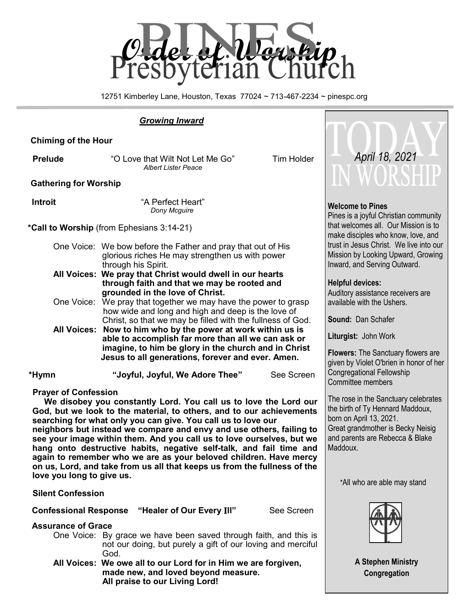

12751 Kimberley Lane, Houston, Texas 77024 ~ 713-467-2234 ~ pinespc.org

## *Growing Inward*

 **Chiming of the Hour**

**Prelude** "O Love that Wilt Not Let Me Go" Tim Holder *Albert Lister Peace*

**Gathering for Worship**

 **Introit** "A Perfect Heart" *Dony Mcguire*

 **\*Call to Worship** (from Ephesians 3:14-21)

- One Voice: We bow before the Father and pray that out of His glorious riches He may strengthen us with power through his Spirit.
- **All Voices: We pray that Christ would dwell in our hearts through faith and that we may be rooted and grounded in the love of Christ.**
- One Voice: We pray that together we may have the power to grasp how wide and long and high and deep is the love of Christ, so that we may be filled with the fullness of God.
- **All Voices: Now to him who by the power at work within us is able to accomplish far more than all we can ask or imagine, to him be glory in the church and in Christ Jesus to all generations, forever and ever. Amen.**

 **\*Hymn "Joyful, Joyful, We Adore Thee"** See Screen

**Prayer of Confession**

 **We disobey you constantly Lord. You call us to love the Lord our God, but we look to the material, to others, and to our achievements searching for what only you can give. You call us to love our** 

**neighbors but instead we compare and envy and use others, failing to see your image within them. And you call us to love ourselves, but we hang onto destructive habits, negative self-talk, and fail time and again to remember who we are as your beloved children. Have mercy on us, Lord, and take from us all that keeps us from the fullness of the love you long to give us.** 

### **Silent Confession**

 **Confessional Response "Healer of Our Every** I**ll"** See Screen

### **Assurance of Grace**

 One Voice: By grace we have been saved through faith, and this is not our doing, but purely a gift of our loving and merciful God.

**All Voices: We owe all to our Lord for in Him we are forgiven, made new, and loved beyond measure. All praise to our Living Lord!** 



### **Welcome to Pines**

Pines is a joyful Christian community that welcomes all. Our Mission is to make disciples who know, love, and trust in Jesus Christ. We live into our Mission by Looking Upward, Growing Inward, and Serving Outward.

### **Helpful devices:**

Auditory assistance receivers are available with the Ushers.

**Sound:** Dan Schafer

**Liturgist:** John Work

**Flowers:** The Sanctuary flowers are given by Violet O'brien in honor of her Congregational Fellowship Committee members

The rose in the Sanctuary celebrates the birth of Ty Hennard Maddoux, born on April 13, 2021. Great grandmother is Becky Neisig and parents are Rebecca & Blake Maddoux.

#### \*All who are able may stand



**A Stephen Ministry Congregation**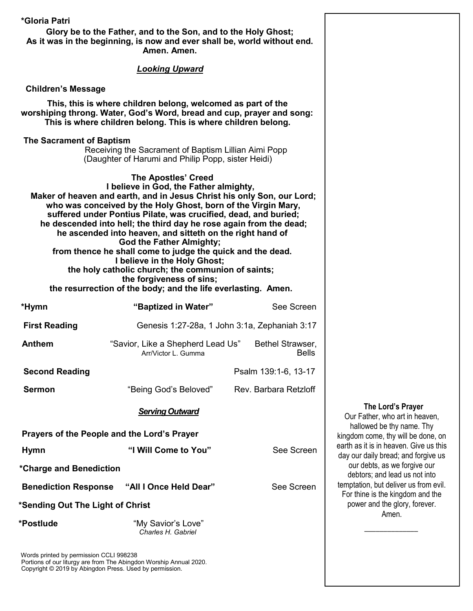| *Gloria Patri                                                                                                                                                                                          | Glory be to the Father, and to the Son, and to the Holy Ghost;<br>As it was in the beginning, is now and ever shall be, world without end.<br>Amen. Amen.                                                                                                                                                                                                                                                                                                                                                                                                                                                                                                                                                 |                                               |                                                            |
|--------------------------------------------------------------------------------------------------------------------------------------------------------------------------------------------------------|-----------------------------------------------------------------------------------------------------------------------------------------------------------------------------------------------------------------------------------------------------------------------------------------------------------------------------------------------------------------------------------------------------------------------------------------------------------------------------------------------------------------------------------------------------------------------------------------------------------------------------------------------------------------------------------------------------------|-----------------------------------------------|------------------------------------------------------------|
|                                                                                                                                                                                                        | <b>Looking Upward</b>                                                                                                                                                                                                                                                                                                                                                                                                                                                                                                                                                                                                                                                                                     |                                               |                                                            |
| <b>Children's Message</b>                                                                                                                                                                              |                                                                                                                                                                                                                                                                                                                                                                                                                                                                                                                                                                                                                                                                                                           |                                               |                                                            |
| This, this is where children belong, welcomed as part of the<br>worshiping throng. Water, God's Word, bread and cup, prayer and song:<br>This is where children belong. This is where children belong. |                                                                                                                                                                                                                                                                                                                                                                                                                                                                                                                                                                                                                                                                                                           |                                               |                                                            |
| The Sacrament of Baptism                                                                                                                                                                               | Receiving the Sacrament of Baptism Lillian Aimi Popp<br>(Daughter of Harumi and Philip Popp, sister Heidi)                                                                                                                                                                                                                                                                                                                                                                                                                                                                                                                                                                                                |                                               |                                                            |
|                                                                                                                                                                                                        | <b>The Apostles' Creed</b><br>I believe in God, the Father almighty,<br>Maker of heaven and earth, and in Jesus Christ his only Son, our Lord;<br>who was conceived by the Holy Ghost, born of the Virgin Mary,<br>suffered under Pontius Pilate, was crucified, dead, and buried;<br>he descended into hell; the third day he rose again from the dead;<br>he ascended into heaven, and sitteth on the right hand of<br><b>God the Father Almighty;</b><br>from thence he shall come to judge the quick and the dead.<br>I believe in the Holy Ghost;<br>the holy catholic church; the communion of saints;<br>the forgiveness of sins;<br>the resurrection of the body; and the life everlasting. Amen. |                                               |                                                            |
| *Hymn                                                                                                                                                                                                  | "Baptized in Water"                                                                                                                                                                                                                                                                                                                                                                                                                                                                                                                                                                                                                                                                                       | See Screen                                    |                                                            |
| <b>First Reading</b>                                                                                                                                                                                   |                                                                                                                                                                                                                                                                                                                                                                                                                                                                                                                                                                                                                                                                                                           | Genesis 1:27-28a, 1 John 3:1a, Zephaniah 3:17 |                                                            |
| <b>Anthem</b>                                                                                                                                                                                          | "Savior, Like a Shepherd Lead Us"<br>Arr/Victor L. Gumma                                                                                                                                                                                                                                                                                                                                                                                                                                                                                                                                                                                                                                                  | Bethel Strawser,<br><b>Bells</b>              |                                                            |
| <b>Second Reading</b>                                                                                                                                                                                  |                                                                                                                                                                                                                                                                                                                                                                                                                                                                                                                                                                                                                                                                                                           | Psalm 139:1-6, 13-17                          |                                                            |
| <b>Sermon</b>                                                                                                                                                                                          | "Being God's Beloved"                                                                                                                                                                                                                                                                                                                                                                                                                                                                                                                                                                                                                                                                                     | Rev. Barbara Retzloff                         |                                                            |
|                                                                                                                                                                                                        | <b>Serving Outward</b>                                                                                                                                                                                                                                                                                                                                                                                                                                                                                                                                                                                                                                                                                    |                                               | The Lord's Pray<br>Our Father, who art in h                |
|                                                                                                                                                                                                        | Prayers of the People and the Lord's Prayer                                                                                                                                                                                                                                                                                                                                                                                                                                                                                                                                                                                                                                                               |                                               | hallowed be thy name<br>kingdom come, thy will be          |
| <b>Hymn</b>                                                                                                                                                                                            | "I Will Come to You"                                                                                                                                                                                                                                                                                                                                                                                                                                                                                                                                                                                                                                                                                      | See Screen                                    | earth as it is in heaven. Gi<br>day our daily bread; and f |
| *Charge and Benediction                                                                                                                                                                                |                                                                                                                                                                                                                                                                                                                                                                                                                                                                                                                                                                                                                                                                                                           |                                               | our debts, as we forgiv<br>debtors; and lead us no         |
| <b>Benediction Response</b>                                                                                                                                                                            | "All I Once Held Dear"                                                                                                                                                                                                                                                                                                                                                                                                                                                                                                                                                                                                                                                                                    | See Screen                                    | temptation, but deliver us<br>For thine is the kingdom     |
| *Sending Out The Light of Christ                                                                                                                                                                       |                                                                                                                                                                                                                                                                                                                                                                                                                                                                                                                                                                                                                                                                                                           |                                               | power and the glory, fo<br>Amen.                           |
| *Postlude                                                                                                                                                                                              | "My Savior's Love"<br>Charles H. Gabriel                                                                                                                                                                                                                                                                                                                                                                                                                                                                                                                                                                                                                                                                  |                                               |                                                            |
|                                                                                                                                                                                                        |                                                                                                                                                                                                                                                                                                                                                                                                                                                                                                                                                                                                                                                                                                           |                                               |                                                            |

Words printed by permission CCLI 998238 Portions of our liturgy are from The Abingdon Worship Annual 2020. Copyright © 2019 by Abingdon Press. Used by permission.

## **The Lord's Prayer**

Our Father, who art in heaven, hallowed be thy name. Thy kingdom come, thy will be done, on earth as it is in heaven. Give us this day our daily bread; and forgive us our debts, as we forgive our debtors; and lead us not into temptation, but deliver us from evil. For thine is the kingdom and the power and the glory, forever. Amen.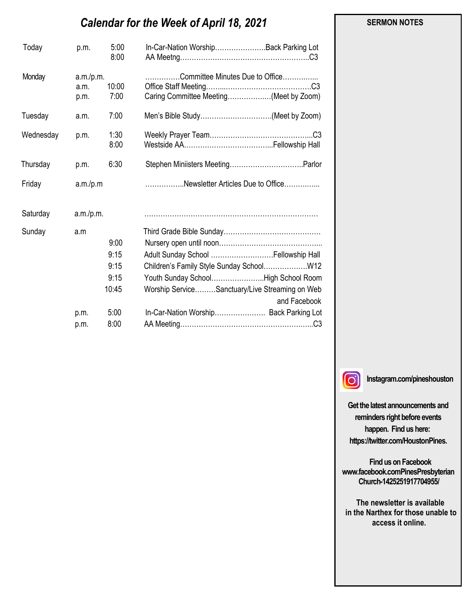# *Calendar for the Week of April 18, 2021*

| Today     | p.m.                      | 5:00<br>8:00                                          | In-Car-Nation WorshipBack Parking Lot                                                                                                                                                                                                |
|-----------|---------------------------|-------------------------------------------------------|--------------------------------------------------------------------------------------------------------------------------------------------------------------------------------------------------------------------------------------|
| Monday    | a.m./p.m.<br>a.m.<br>p.m. | 10:00<br>7:00                                         | .Committee Minutes Due to Office<br>Caring Committee Meeting(Meet by Zoom)                                                                                                                                                           |
| Tuesday   | a.m.                      | 7:00                                                  | Men's Bible Study(Meet by Zoom)                                                                                                                                                                                                      |
| Wednesday | p.m.                      | 1:30<br>8:00                                          |                                                                                                                                                                                                                                      |
| Thursday  | p.m.                      | 6:30                                                  |                                                                                                                                                                                                                                      |
| Friday    | a.m./p.m                  |                                                       | Newsletter Articles Due to Office                                                                                                                                                                                                    |
| Saturday  | a.m./p.m.                 |                                                       |                                                                                                                                                                                                                                      |
| Sunday    | a.m<br>p.m.<br>p.m.       | 9:00<br>9:15<br>9:15<br>9:15<br>10:45<br>5:00<br>8:00 | Adult Sunday School  Fellowship Hall<br>Children's Family Style Sunday School W12<br>Youth Sunday SchoolHigh School Room<br>Worship ServiceSanctuary/Live Streaming on Web<br>and Facebook<br>In-Car-Nation Worship Back Parking Lot |

 **SERMON NOTES** 

 $\odot$ 

**Instagram.com/pineshouston**

**Get the latest announcements and reminders right before events happen. Find us here: https://twitter.com/HoustonPines.** 

 **Find us on Facebook www.facebook.comPinesPresbyterian Church-1425251917704955/**

 **The newsletter is available in the Narthex for those unable to access it online.**